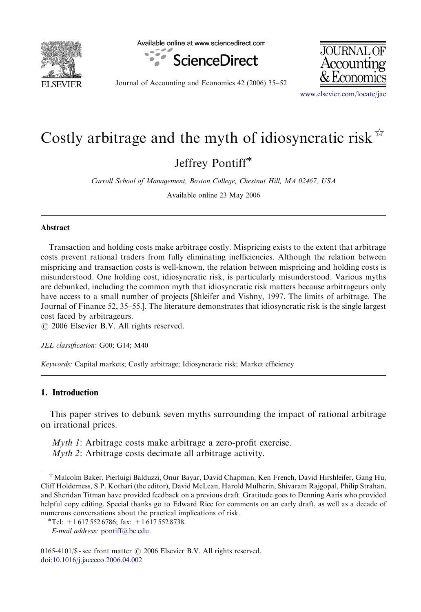

Available online at www.sciencedirect.com





Journal of Accounting and Economics 42 (2006) 35–52

<www.elsevier.com/locate/jae>

## Costly arbitrage and the myth of idiosyncratic risk  $\mathbb{R}$

Jeffrey Pontiff

Carroll School of Management, Boston College, Chestnut Hill, MA 02467, USA

Available online 23 May 2006

## Abstract

Transaction and holding costs make arbitrage costly. Mispricing exists to the extent that arbitrage costs prevent rational traders from fully eliminating inefficiencies. Although the relation between mispricing and transaction costs is well-known, the relation between mispricing and holding costs is misunderstood. One holding cost, idiosyncratic risk, is particularly misunderstood. Various myths are debunked, including the common myth that idiosyncratic risk matters because arbitrageurs only have access to a small number of projects [Shleifer and Vishny, 1997. The limits of arbitrage. The Journal of Finance 52, 35–55.]. The literature demonstrates that idiosyncratic risk is the single largest cost faced by arbitrageurs.

 $\odot$  2006 Elsevier B.V. All rights reserved.

JEL classification: G00; G14; M40

Keywords: Capital markets; Costly arbitrage; Idiosyncratic risk; Market efficiency

## 1. Introduction

This paper strives to debunk seven myths surrounding the impact of rational arbitrage on irrational prices.

Myth 1: Arbitrage costs make arbitrage a zero-profit exercise. Myth 2: Arbitrage costs decimate all arbitrage activity.

 $\hat{X}$ Malcolm Baker, Pierluigi Balduzzi, Onur Bayar, David Chapman, Ken French, David Hirshleifer, Gang Hu, Cliff Holderness, S.P. Kothari (the editor), David McLean, Harold Mulherin, Shivaram Rajgopal, Philip Strahan, and Sheridan Titman have provided feedback on a previous draft. Gratitude goes to Denning Aaris who provided helpful copy editing. Special thanks go to Edward Rice for comments on an early draft, as well as a decade of numerous conversations about the practical implications of risk. \*Tel:  $+1\,617\,552\,6786$ ; fax:  $+1\,617\,552\,8738$ .

E-mail address: [pontiff@bc.edu.](mailto:pontiff@bc.edu)

 $0165-4101/\$ S - see front matter  $\odot$  2006 Elsevier B.V. All rights reserved. doi[:10.1016/j.jacceco.2006.04.002](dx.doi.org/10.1016/j.jacceco.2006.04.002)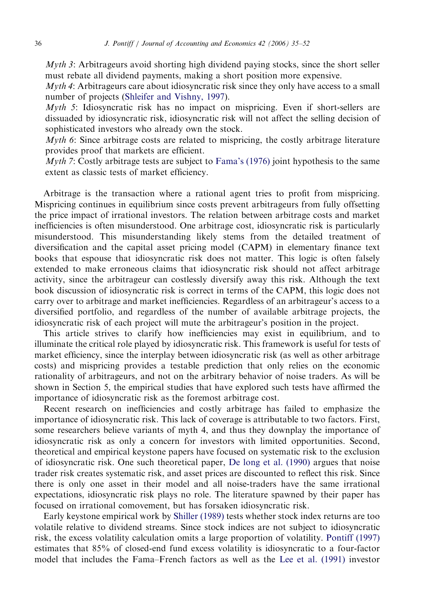Myth 3: Arbitrageurs avoid shorting high dividend paying stocks, since the short seller must rebate all dividend payments, making a short position more expensive.

*Myth 4*: Arbitrageurs care about idiosyncratic risk since they only have access to a small number of projects ([Shleifer and Vishny, 1997\)](#page--1-0).

Myth 5: Idiosyncratic risk has no impact on mispricing. Even if short-sellers are dissuaded by idiosyncratic risk, idiosyncratic risk will not affect the selling decision of sophisticated investors who already own the stock.

Myth 6: Since arbitrage costs are related to mispricing, the costly arbitrage literature provides proof that markets are efficient.

Myth 7: Costly arbitrage tests are subject to [Fama's \(1976\)](#page--1-0) joint hypothesis to the same extent as classic tests of market efficiency.

Arbitrage is the transaction where a rational agent tries to profit from mispricing. Mispricing continues in equilibrium since costs prevent arbitrageurs from fully offsetting the price impact of irrational investors. The relation between arbitrage costs and market inefficiencies is often misunderstood. One arbitrage cost, idiosyncratic risk is particularly misunderstood. This misunderstanding likely stems from the detailed treatment of diversification and the capital asset pricing model (CAPM) in elementary finance text books that espouse that idiosyncratic risk does not matter. This logic is often falsely extended to make erroneous claims that idiosyncratic risk should not affect arbitrage activity, since the arbitrageur can costlessly diversify away this risk. Although the text book discussion of idiosyncratic risk is correct in terms of the CAPM, this logic does not carry over to arbitrage and market inefficiencies. Regardless of an arbitrageur's access to a diversified portfolio, and regardless of the number of available arbitrage projects, the idiosyncratic risk of each project will mute the arbitrageur's position in the project.

This article strives to clarify how inefficiencies may exist in equilibrium, and to illuminate the critical role played by idiosyncratic risk. This framework is useful for tests of market efficiency, since the interplay between idiosyncratic risk (as well as other arbitrage costs) and mispricing provides a testable prediction that only relies on the economic rationality of arbitrageurs, and not on the arbitrary behavior of noise traders. As will be shown in Section 5, the empirical studies that have explored such tests have affirmed the importance of idiosyncratic risk as the foremost arbitrage cost.

Recent research on inefficiencies and costly arbitrage has failed to emphasize the importance of idiosyncratic risk. This lack of coverage is attributable to two factors. First, some researchers believe variants of myth 4, and thus they downplay the importance of idiosyncratic risk as only a concern for investors with limited opportunities. Second, theoretical and empirical keystone papers have focused on systematic risk to the exclusion of idiosyncratic risk. One such theoretical paper, [De long et al. \(1990\)](#page--1-0) argues that noise trader risk creates systematic risk, and asset prices are discounted to reflect this risk. Since there is only one asset in their model and all noise-traders have the same irrational expectations, idiosyncratic risk plays no role. The literature spawned by their paper has focused on irrational comovement, but has forsaken idiosyncratic risk.

Early keystone empirical work by [Shiller \(1989\)](#page--1-0) tests whether stock index returns are too volatile relative to dividend streams. Since stock indices are not subject to idiosyncratic risk, the excess volatility calculation omits a large proportion of volatility. [Pontiff \(1997\)](#page--1-0) estimates that 85% of closed-end fund excess volatility is idiosyncratic to a four-factor model that includes the Fama–French factors as well as the [Lee et al. \(1991\)](#page--1-0) investor